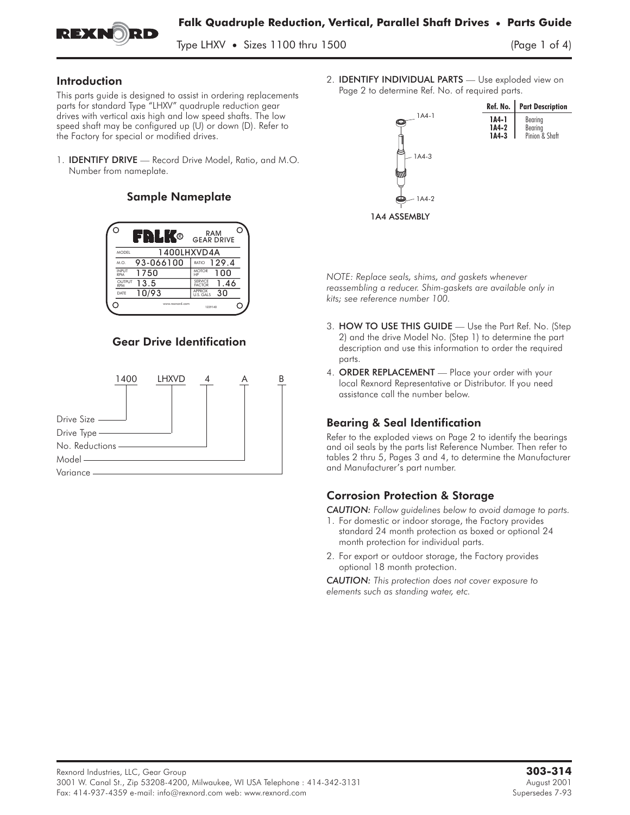

Type LHXV • Sizes 1100 thru 1500

### Introduction

This parts guide is designed to assist in ordering replacements parts for standard Type "LHXV" quadruple reduction gear drives with vertical axis high and low speed shafts. The low speed shaft may be configured up (U) or down (D). Refer to the Factory for special or modified drives.

1. IDENTIFY DRIVE **—** Record Drive Model, Ratio, and M.O. Number from nameplate.

### Sample Nameplate



### Gear Drive Identification



2. IDENTIFY INDIVIDUAL PARTS **—** Use exploded view on Page 2 to determine Ref. No. of required parts.



*NOTE: Replace seals, shims, and gaskets whenever reassembling a reducer. Shim-gaskets are available only in kits; see reference number 100.* NOTE: Keplace seals, shims, and gaskets whenever<br>reassembling a reducer. Shim-gaskets are available only in<br>kits; see reference number 100.<br>3. **HOW TO USE THIS GUIDE** — Use the Part Ref. No. (Step

- 2) and the drive Model No. (Step 1) to determine the part description and use this information to order the required parts. 3. **HOW TO USE THIS GUIDE** — Use the Part Ref. No.<br>2) and the drive Model No. (Step 1) to determine the p<br>description and use this information to order the requir<br>parts.<br>4. **ORDER REPLACEMENT** — Place your order with your
- local Rexnord Representative or Distributor. If you need assistance call the number below.

# Bearing & Seal Identification

Refer to the exploded views on Page 2 to identify the bearings and oil seals by the parts list Reference Number. Then refer to tables 2 thru 5, Pages 3 and 4, to determine the Manufacturer and Manufacturer's part number.

# Corrosion Protection & Storage

*CAUTION: Follow guidelines below to avoid damage to parts.*

- 1. For domestic or indoor storage, the Factory provides standard 24 month protection as boxed or optional 24 month protection for individual parts.
- 2. For export or outdoor storage, the Factory provides optional 18 month protection.

*CAUTION: This protection does not cover exposure to elements such as standing water, etc.*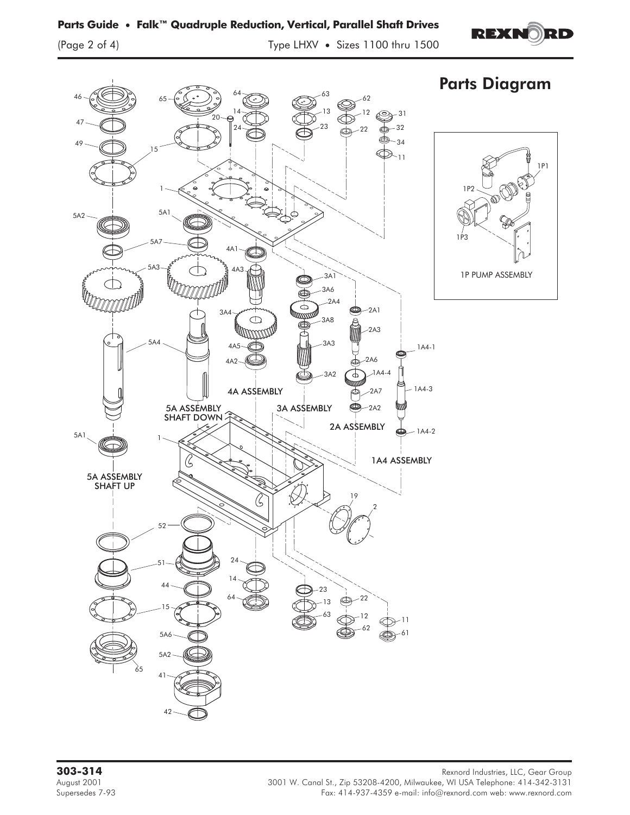# **Parts Guide • Falk™ Quadruple Reduction, Vertical, Parallel Shaft Drives**

(Page 2 of 4) Type LHXV **•** Sizes 1100 thru 1500



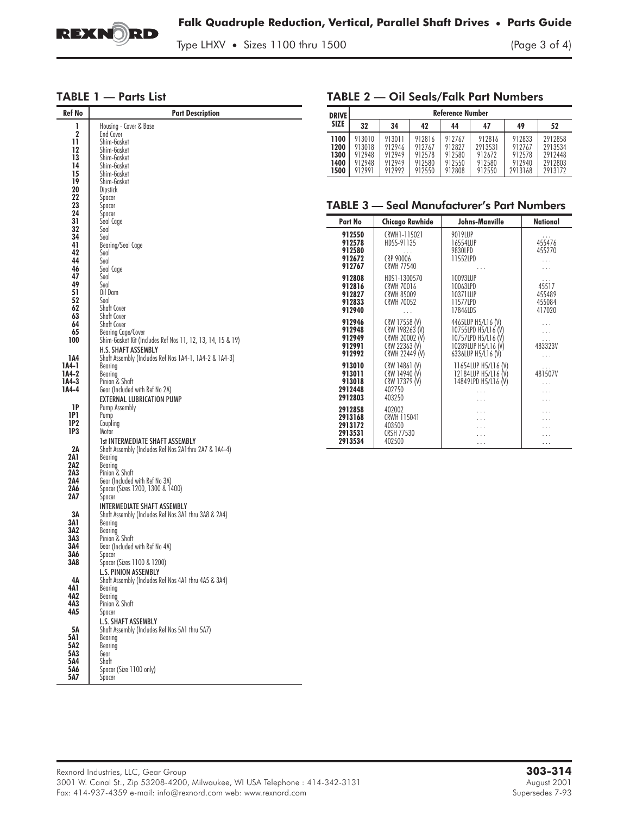

TABLE 2 — Oil Seals/Falk Part Numbers

Type LHXV **•** Sizes 1100 thru 1500 (Page 3 of 4)

# TABLE 1 — Parts List

| <b>Ref No</b>    | <b>Part Description</b>                                                                         |                                                   |                    | Reference Number                       |                  |                      |                                            |                  |                      |  |
|------------------|-------------------------------------------------------------------------------------------------|---------------------------------------------------|--------------------|----------------------------------------|------------------|----------------------|--------------------------------------------|------------------|----------------------|--|
|                  | Housing - Cover & Base                                                                          | <b>DRIVE</b><br><b>SIZE</b>                       | 32                 | 34                                     | 42               |                      |                                            | 49               | 52                   |  |
| 1<br>$\mathbf 2$ | End Cover                                                                                       |                                                   |                    |                                        |                  | 44                   | 47                                         |                  |                      |  |
| 11               | Shim-Gasket                                                                                     | 1100<br>1200                                      | 913010<br>913018   | 913011<br>912946                       | 912816<br>912767 | 912767<br>912827     | 912816<br>2913531                          | 912833<br>912767 | 2912858<br>2913534   |  |
| 12<br>13         | Shim-Gasket<br>Shim-Gasket                                                                      | 1300                                              | 912948             | 912949                                 | 912578           | 912580               | 912672                                     | 912578           | 2912448              |  |
| 14               | Shim-Gasket                                                                                     | 1400                                              | 912948             | 912949                                 | 912580           | 912550               | 912580                                     | 912940           | 2912803              |  |
| 15               | Shim-Gasket                                                                                     | 1500                                              | 912991             | 912992                                 | 912550           | 912808               | 912550                                     | 2913168          | 2913172              |  |
| 19<br>20         | Shim-Gasket<br>Dipstick                                                                         |                                                   |                    |                                        |                  |                      |                                            |                  |                      |  |
| 22               | Spacer                                                                                          |                                                   |                    |                                        |                  |                      |                                            |                  |                      |  |
| 23<br>24         | Spacer<br>Spacer                                                                                | <b>TABLE 3 - Seal Manufacturer's Part Numbers</b> |                    |                                        |                  |                      |                                            |                  |                      |  |
| 31               | Seal Cage                                                                                       |                                                   | Part No            | <b>Chicago Rawhide</b>                 |                  | Johns-Manville       |                                            |                  | National             |  |
| 32               | Seal<br>Seal                                                                                    | 912550                                            |                    | CRWH1-115021                           |                  | 9019LUP              |                                            |                  |                      |  |
| 34<br>41         | Bearing/Seal Cage                                                                               |                                                   | 912578             | HDS5-91135                             |                  | 16554LUP             |                                            |                  | 455476               |  |
| 42               | Seal                                                                                            |                                                   | 912580<br>912672   | CRP 90006                              |                  | 9830LPD<br>11552LPD  |                                            |                  | 455270               |  |
| 44<br>46         | Seal<br>Seal Cage                                                                               |                                                   | 912767             | <b>CRWH 77540</b>                      |                  |                      | $\cdots$                                   |                  | $\ldots$<br>$\ldots$ |  |
| 47               | Seal                                                                                            |                                                   | 912808             | HDS1-1300570                           |                  | 10093LUP             |                                            |                  |                      |  |
| 49<br>51         | Seal                                                                                            | 912816                                            |                    | CRWH 70016                             |                  | 10063LPD             |                                            |                  | 45517                |  |
| 52               | Oil Dam<br>Seal                                                                                 |                                                   | 912827<br>912833   | <b>CRWH 85009</b><br><b>CRWH 70052</b> |                  | 10371LUP<br>11577LPD |                                            |                  | 455489<br>455084     |  |
| 62               | Shaft Cover                                                                                     |                                                   | 912940             | $\ldots$                               |                  | 17846LDS             |                                            |                  | 417020               |  |
| 63<br>64         | Shaft Cover<br>Shaft Cover                                                                      |                                                   | 912946             | CRW 17558 (V)                          |                  |                      | 4465LUP H5/L16 (V)                         |                  | $\cdots$             |  |
| 65               | Bearing Cage/Cover                                                                              |                                                   | 912948             | CRW 198263 (V)                         |                  |                      | 10755LPD H5/L16 (V)                        |                  | $\ldots$             |  |
| 100              | Shim-Gasket Kit (Includes Ref Nos 11, 12, 13, 14, 15 & 19)                                      |                                                   | 912949<br>912991   | CRWH 20002 (V)<br>CRW 22363 (V)        |                  |                      | 10757LPD H5/L16 (V)<br>10289LUP H5/L16 (V) |                  | 483323V              |  |
| 1A4              | <b>H.S. SHAFT ASSEMBLY</b><br>Shaft Assembly (Includes Ref Nos 1A4-1, 1A4-2 & 1A4-3)            |                                                   | 912992             | CRWH 22449 (V)                         |                  |                      | 6336LUP H5/L16 (V)                         |                  | $\ldots$             |  |
| 1A4-1            | Bearing                                                                                         |                                                   | 913010             | CRW 14861 (V)<br>CRW 14940 (V)         |                  |                      | 11654LUP H5/L16 (V)                        |                  |                      |  |
| 1A4-2<br>1A4-3   | Bearing<br>Pinion & Shaft                                                                       |                                                   | 913011<br>913018   | CRW 17379 (V)                          |                  |                      | 12184LUP H5/L16 (V)<br>14849LPD H5/L16 (V) |                  | 481507V              |  |
| 1A4-4            | Gear (Included with Ref No 2A)                                                                  |                                                   | 2912448            | 402750                                 |                  |                      | $\ldots$                                   |                  | $\ldots$<br>$\ldots$ |  |
|                  | <b>EXTERNAL LUBRICATION PUMP</b>                                                                |                                                   | 2912803            | 403250                                 |                  |                      | $\ldots$                                   |                  | $\cdots$             |  |
| 1P               | Pump Assembly                                                                                   |                                                   | 2912858            | 402002                                 |                  |                      | .                                          |                  | .                    |  |
| 1P1<br>1P2       | Pump<br>Coupling                                                                                |                                                   | 2913168<br>2913172 | CRWH 115041<br>403500                  |                  |                      | $\cdots$                                   |                  | $\cdots$             |  |
| 1P3              | Motor                                                                                           |                                                   | 2913531            | <b>CRSH 77530</b>                      |                  |                      | $\cdots$<br>$\ldots$                       |                  | $\cdots$<br>$\cdots$ |  |
|                  | <b>1st INTERMEDIATE SHAFT ASSEMBLY</b><br>Shaft Assembly (Includes Ref Nos 2A1thru 2A7 & 1A4-4) |                                                   | 2913534            | 402500                                 |                  |                      | .                                          |                  | $\cdots$             |  |
| 2A<br>2A 1       | Bearing                                                                                         |                                                   |                    |                                        |                  |                      |                                            |                  |                      |  |
| 2A2              | Bearing                                                                                         |                                                   |                    |                                        |                  |                      |                                            |                  |                      |  |
| 2A3<br>2A4       | Pinion & Shaft<br>Gear (Included with Ref No 3A)                                                |                                                   |                    |                                        |                  |                      |                                            |                  |                      |  |
| 2A6              | Spacer (Sizes 1200, 1300 & 1400)                                                                |                                                   |                    |                                        |                  |                      |                                            |                  |                      |  |
| 2A7              | Spacer                                                                                          |                                                   |                    |                                        |                  |                      |                                            |                  |                      |  |
| 3A               | <b>INTERMEDIATE SHAFT ASSEMBLY</b><br>Shaft Assembly (Includes Ref Nos 3A1 thru 3A8 & 2A4)      |                                                   |                    |                                        |                  |                      |                                            |                  |                      |  |
| 3A 1             | Bearing                                                                                         |                                                   |                    |                                        |                  |                      |                                            |                  |                      |  |
| 3A2<br>3A3       | Bearing<br>Pinion & Shaft                                                                       |                                                   |                    |                                        |                  |                      |                                            |                  |                      |  |
| 3A4              | Gear (Included with Ref No 4A)                                                                  |                                                   |                    |                                        |                  |                      |                                            |                  |                      |  |
| 3A6<br>3A8       | Spacer<br>Spacer (Sizes 1100 & 1200)                                                            |                                                   |                    |                                        |                  |                      |                                            |                  |                      |  |
|                  | L.S. PINION ASSEMBLY                                                                            |                                                   |                    |                                        |                  |                      |                                            |                  |                      |  |
| 4Α               | Shaft Assembly (Includes Ref Nos 4A1 thru 4A5 & 3A4)                                            |                                                   |                    |                                        |                  |                      |                                            |                  |                      |  |
| 4A 1<br>4A2      | Bearing<br>Bearing                                                                              |                                                   |                    |                                        |                  |                      |                                            |                  |                      |  |
| 4A3              | Pinion & Shaft                                                                                  |                                                   |                    |                                        |                  |                      |                                            |                  |                      |  |
| 4A5              | Spacer                                                                                          |                                                   |                    |                                        |                  |                      |                                            |                  |                      |  |
|                  | L.S. SHAFT ASSEMBLY<br>Shaft Assembly (Includes Ref Nos 5A1 thru 5A7)                           |                                                   |                    |                                        |                  |                      |                                            |                  |                      |  |
| 5A<br>5A1        | Bearing                                                                                         |                                                   |                    |                                        |                  |                      |                                            |                  |                      |  |
| 5A2              | Bearing                                                                                         |                                                   |                    |                                        |                  |                      |                                            |                  |                      |  |
| 5A3<br>5A4       | Gear<br>Shaft                                                                                   |                                                   |                    |                                        |                  |                      |                                            |                  |                      |  |
| 5A6              | Spacer (Size 1100 only)                                                                         |                                                   |                    |                                        |                  |                      |                                            |                  |                      |  |
| 5A7              | Spacer                                                                                          |                                                   |                    |                                        |                  |                      |                                            |                  |                      |  |